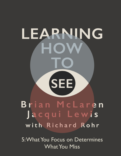## LEARNING  $\bigcirc$ **SEE** Brian McLaren Jacqui Lewis with Richard Rohr

5: What You Focus on Determines What You Miss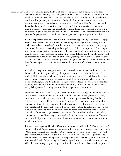Brian McLaren: I have five amazing grandchildren. I'll show you pictures. But in addition to my four wonderful granddaughters, I have one grandson. His name is Lucas, and he reminds me so much of me when I was a boy. I was that kid who was always out looking for grasshoppers, and leopard frogs, and garter snakes, and finding bird nests, and cocoons, and praying mantises, and that's Lucas. Wherever we go together, it's, "Look, Pop Pop, there's a lizard! Look, Pop Pop, there's a caterpillar! Look, Pop Pop!" And he always is seeing amazing, beautiful things. I've noticed that that ability to catch things out of the corner of your eye, to discern a slight disruption of a pattern, it's that ability to see fine differences that makes it possible for people like Lucas and, to a lesser degree these days, me, pick out wildlife.

> I had an experience some years ago. I had the wonderful opportunity to go to the Galapagos Islands. And we were in a little excursion boat on high seas, big waves that every once in a while washed over the side of our little motorboat. And we were about to go snorkeling. And some of us were scuba diving, and our guide said, "Keep your eyes open. This is a place where we often see the Mola mola, which is the ocean sunfish." He said, "Sometimes they go near the surface, and you'll see a fin cutting the surface. It looks like the fin of a shark." And so, we sat there in the rise and the fall of the waves, looking. And I saw one, I shouted out: "There it is! There it is!" And everybody looked and got to see the Mola mola. A few minutes later, "I saw it again. I saw another one over on the other side of the boat! I saw another one!"

> I was always the person seeing the Mola, and I realized it's because I'm a fisherman back home, and I fish for tarpon and very often you see a tarpon break the surface. And I realized I'd developed a search image for the surface of the water. That ability to look for a disturbance of the pattern is what helped me as a fisherman and what helped me that day as a Mola-mola sighter. The flip side, of course, is "what you focus on," as one of my mentors told me, "what you focus on determines what you miss," What you look for, your search image helps you see that thing, but it might mean you miss other things.

> Some years ago, I was at an event, and a friend of mine was teaching, and he put up a video on the screen. You can find a version of this online if you look today. Just search-- Well, I don't even want to tell you what to search for because it gives away the story, but he said, "This is a test of your ability to concentrate." He said, "There are people with white shirts and people with dark shirts, and the white-shirt people will be throwing to other whiteshirt people and the dark-shirt people will be throwing to other dark-shirt people, your job is to pick one of the shirts and only count the number of times that that team throws to a member of their team. Ignore everything else. Just focus on that." And so, I remember I counted, you know, "Seven, eight, nine, twelve, fourteen, seventeen, twenty-one. Twentyone!" [music] I paid such close attention. I was sure the answer was twenty-one. And so, we watched the video.

 Everyone came together. He said, "Okay, who followed the white shirts? What did you see?" Some people said, "sixteen, seventeen, nineteen," but the answer was twenty-one. I was right. "What about the dark-shirt people?" "Oh, "Twenty-three, twenty-four, twenty-two." And the answer was twenty-two. And then he said, "How many of you saw the gorilla?" And I had no idea what he was talking about. A few people raised their hand, but most of us didn't. And he said, "Well, I'm going to play the video again." And this time when I watched the video, halfway through, a guy in a gorilla suit walks across the stage between all the people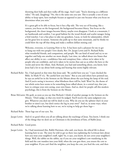throwing their balls and then walks off the stage. And I said, "You're showing us a different video." He said, [laughing] "No, this is the same one you saw. This is actually a test of your ability to keep open, have multiple focuses as opposed to just one because what you focus on determines what you miss."

 It's a great gift to be able to focus, but it has a flip side. The very act of focusing, like a camera, you focus on the foreground, the background becomes blurry. You focus on the background, the closer images become blurry, maybe even disappear. I look at a mountain, I see hardwoods and conifers. I see good habitat for the wood thrush and scarlet tanager, being a bird watcher. I see a fun place to take my grandson, Lucas, to look for salamanders, which are his great love in nature. Someone else pulls up to that same mountain, and he thinks we could blow the top off that thing and make a million dollars mining coal.

 Welcome, everyone, to Learning How to See. It has been such a pleasure for me to get to hang out with two people I love dearly, Rev. Dr. Jacqui Lewis and Fr. Richard Rohr, what wonderful friends, and companions, and people. We can kind of stand and try to see together and help one another see more deeply. Last time, we talked about two biases that affect our ability to see—confidence bias and conspiracy bias—where we're taken in by people who are confident, and we're taken in by stories that cast us as either the hero or the victim and never the villain. And, Richard, you had said something about, you know, how Jesus had a lot to say about both seeing and hearing that seems highly relevant.

- Richard Rohr: Yes. I had quoted at that time that Jesus said, "Be careful how you see." I just checked the Bible. In Mark IV it's, "Be careful how you listen." But as you and others have pointed out, he says an awful lot in the Sermon on the Mount about the eyes being the lamp of the soul. And if you're seeing is incorrect, what blindness there will be, huh? Wow! So, the theme of our whole series here seems to be something Jesus talked about, in a central way, that you have to critique your own seeing, your own biases. And so, don't let people call this modern psychology, this is from the Sermon on the Mount.
- Brian McLaren: My gosh, as soon as you say that Richard, I think of another passage in the Sermon on the Mount, "Don't judge, so that you won't be judged. You'll receive the same judgment you give. Whatever you deal out will be dealt to you. Why do you see the splinter that's in your brother or sister's eye, but don't notice the log in your own?" And so, in some ways, when we're talking about learning how to see, we're trying to help get those logs—
- Richard Rohr: Those logs out of our eyes. Yes.
- Jacqui Lewis: And it's so good when you all are talking about the teachings of Jesus. You know, I think one of the things that we don't see as Christians is the Jewishness of him, of Rabbi Jesus.
- Richard Rohr: Good point.
- Jacqui Lewis: So, I had mentioned this, Rabbi Hartman, who said, you know, the ethical life is about learning how to see. The story he told to get us there was explaining the Levitican laws about how you treat your neighbor's stuff, right? So, it says, you know, do not covet your neighbor's things. Well, the rabbis on the rabbis, say if you see your neighbor's cow wandering in the field and the cow wanders into your field, when the cow gets there, you return the cow to your neighbor. If you can't find the neighbor, you keep the cow, you feed the cow, and then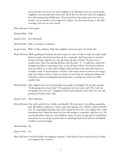you return the cow. If you see your neighbor's cow fall down, you are to pick up the neighbor's cow and help him on his way. All of this is in the love God, love neighbor, love self teaching from Rabbi Jesus. That kind of love that makes you even see your enemy's cow in trouble, you're supposed to help it. So, that's how he got to the ethic of seeing. Can you see your enemy?

Brian McLaren: That's great.

Richard Rohr: Yeah.

Jacqui Lewis: Isn't that good?

Richard Rohr: Yeah. So normal, so ordinary.

Jacqui Lewis: Well, it's like, ordinary. Help that neighbor across the street, for God's sake.

- Brian McLaren: Well, speaking of ordinary, the three biases we want to look at today are really, really down-to-earth, practical issues that we face constantly. And I just want to mention all three of them, and then we can talk about all three of them. The first one is comfort bias. Now, I'm naming all these with the letter "C." I could have called this complacency bias or convenience bias, so any of those will do. Our brains welcome data that allows us to relax and be happy, and our brains reject data that require us to adjust, work, or inconvenience ourselves. Our brains want to conserve our energy. And even before we have a chance to notice it, our brains are tuning out things that will make us feel uncomfortable and maybe have to spring into action. So, that's comfort bias.
- Richard Rohr: That might be the one I'm personally most guilty of. [laughter] In my first reaction, "Is this going to be more work?" If it's going to be more work, and "Oh, God, I'm not going to let it be true." [laughter] I don't need anymore work. Now I'm very selfprotective of more work. Yeah.
- Jacqui Lewis: That's hilarious.
- Brian McLaren: Yes, well, and all of us, I think, can identify. The next one is, I'm calling catastrophe bias. But before I explain it, I want to give the opposite of it, which is called normalcy bias. It's catastrophe/normalcy bias. And I think the best way I can explain this is with something that I think the three of us are old enough to remember. And here it is. Do you all remember when you were children, when you were young and we would drive somewhere in a car in the summer that we would get back home and our windshield would be covered in bugs?

Richard Rohr: Yes.

Jacqui Lewis: Yes.

Brian McLaren: And that hardly ever happens anymore. I don't know if you've noticed, but it hardly ever happens like it used to.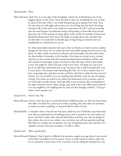## Richard Rohr: Wow.

Brian McLaren: And I live in at the edge of the Everglades, which you would think is one of the buggiest places on the earth. I have not had to clean my windshield the way we had to clean all the time when I was a little kid growing up in upstate New York. Now, I'm sure there are still nights where there are a lot of bugs out, but here's the thing: Scientists tell us that we're in the midst of a mass insect die-off. I read just yesterday that the total biomass of nonhuman being, living things, is down like sixty percent plus since the 1970s and that in many places in the world, the number of insects has absolutely plummeted. Now, here's the thing, so people drive now, and they have no idea what was normal for us decades ago, of bugs being so common that our windshields we could barely see out of.

> So, what catastrophe/normalcy bias says is that our brains are wired to notice sudden changes for the worse, but we easily miss slow and subtle changes for the worse or the better. In other words, our brains see disaster and catastrophe, but they don't notice the slow decline of normalcy or the baseline. Our brains are wired to set a normal, and then we just assume that that normal has always been and always will be, and we're afraid of catastrophe. It goes a bit back to that old story, which I don't think is true, but might be, that if you put a frog in hot water, it'll jump out, but if you put it in cold water and slowly heat it up, you know, that it will eventually boil, and it won't notice. Our brains work something like that. So, we have comfort bias, we have catastrophe bias, and then we have cash bias. And this is really the bias of vested interest. It is very hard for us to see anything that interferes with our way of making a living. Our brains are wired to see within the framework of our economy, and we see what helps us make money. And especially in our economy, this is something we are super-oriented toward, which, Jacqui, goes back a bit to the rabbi story because if I see my neighbor's cow walking into my yard, my first thought could be, "I just got richer. I have another cow."

- Jacqui Lewis. Exactly. Yep. Yep.
- Brian McLaren: And so, from the start, to avoid that kind of selfishness bias. So, there are three biases that affect our daily lives, and I just wonder, anything, does that take you anywhere, or make you notice anything, or ring any bells for either of you?
- Richard Rohr: I remember when it first hit me that Jesus called the sons of Zebedee away from their nets, their occupational way of making money, and it seemed to me a bit unfair, you know. And this is rather clear, they left their father and their nets, that for people in that culture, but now in our culture, too, you better not call into question anything that limits or critiques my occupation, my way of making money, that cash bias. In a capitalist country, that's just sacrosanct. It really is. Yeah.

Jacqui Lewis: That's a good point.

Brian McLaren: Richard, I had a kind of a difficult few months a couple years ago where I just started to feel how controlled we are by money. It just, it really started to sink in, and it hit me as a preacher. I don't mean to be, you know, I'm not asking for therapy here, but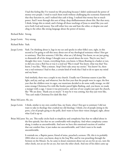I had this feeling like I've wasted my life preaching because I didn't understand the power of money over people. I tried to teach them truth without challenging the economic framework that they function in, and I realized that cash is king. I realized that money has so much power. And I went through this sort of deep, deep disillusionment about this. But that story, I think, brings this to mind, and it brings all those teachings of Jesus to mind like you can't serve both God and money. You will either love one and hate the other, or despise one and cling to the other, like strong language about the power of money.

Richard Rohr: Strong.

Jacqui Lewis: Very strong.

Richard Rohr: Yeah.

Jacqui Lewis: Yeah. I'm thinking about it, logs in my eye and specks in other folks's eyes, right, in this second as I'm going to tell this story about sort of my theological resistance when I first got to seminary. That first semester, I felt like, what are y'all doing? You know, we are just going to dismantle all of the things I thought were so sacred about the texts. They're not, but I thought they were. I mean, everything from, you know, is Moses floating in a basket or not, to did you cross a Red Sea or was it a reed sea? Was it mud? You know, what was that? You know, I was like, "Wait a minute. Stop! Don't take away my stories." You know? So, there was a real resistance I had to that, a certain kind of work that I had to do to open my mind and my heart.

> And similarly, there was a couple in my church. Usually our Christmas season is just like light, and joy, and up, and whatever, but the first year that the people were in cages, the first year that the children were in cages, our musicians decided to do some really strange, we did some strange Christmas Eve with like border patrol lights flashing, and, you know, we made a manger with a cage. I mean it was provocative, and one of our couples just quit the church, like "We are done. Thank you so much." It may be it was coming, but they just were like, "You can't make Christmas Eve dark like that."

Brian McLaren: Ah, yes.

- Jacqui Lewis: I think, similar to my own comfort bias, my brain, when I first got to seminary I did not want to take in theology that crushed my old theology. I think a lot of people sitting in the pews, a lot of people going to the polls, don't want to have their vision changed, right, about what God is up to.
- Brian McLaren: Yes, yes. This really circles back to simplicity and complexity bias that we talked about in the first episode, but that we are comfortable with simplicity. And when complexity comes along, it makes us uncomfortable. And now we have this emotional reaction of comfort that our comfort bias, it just makes me uncomfortable, and I don't want to be made uncomfortable.

 It reminds me, a Baptist pastor, friend of mine, preached a sermon. Oh, this is in probably 2004 when we were, you know, deep in the Iraq War, and he was preaching through the Sermon on the Mount. So, he came to Jesus's statement about not an eye for an eye, turn the other cheek, not an eye for an eye, but turn the other cheek. And one of his elders came up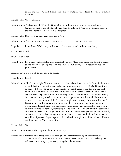to him and said, "Pastor, I think it's very inappropriate for you to teach that when our nation is at war."

Richard Rohr: Wow. [laughing]

- Brian McLaren: And so, he said, "It's in the Gospels! It's right there in the Gospels! I'm preaching this Sermon on the Mount, I had no choice." And the elder said, "I've always thought that was the weak point of Jesus's teaching." [laughter]
- Richard Rohr: Don't let it have any edge to it. Yeah. Wow.

Brian McLaren: Anything that disturbs our comfort, yeah, it makes it hard for us to hear.

Jacqui Lewis: I love Walter Wink's exegetical work on that whole turn-the-other-cheek thing.

Richard Rohr: Yeah.

Brian McLaren: Yes.

Jacqui Lewis: It was pretty radical. Like, Jesus was actually saying, "Turn your cheek, and force this person to slap you on the strong side." I'm like, "What?" But deeply, deeply subversive was our Jesus, right?

Brian McLaren: It was a call to nonviolent resistance.

Jacqui Lewis: Exactly.

Brian McLaren: That's exactly right. Yup. Yeah. So, you just think about issues that we're facing in the world today. Like, for example, if we go back, you know, we're in the year of COVID, and if we go back to February or January when people were first hearing about this, and they had to tell us that an invisible threat was coming and it wasn't going to arrive all on the same day. It wasn't like planes running into skyscrapers, but it was going to be even more deadly, but it would come gradually, you can imagine everyone's comfort bias said, "I don't want to hear this. I don't want to, I don't. I have enough trouble already. Don't add this to me." Catastrophe bias, this is a slow-motion catastrophe. I mean, the thought of, you know, we're nearing 200,000 dead from the disease. I mean, it's a huge catastrophe, but people are relatively unexercised about it, many people. And then cash: "This will affect the economy. I don't want to even acknowledge this is real." You put those three together and you just think, of course we were liable to being misled about this. And then you think of climate change, same kind of problem. It goes against, it has to break through three different kinds of bias to get through to us. My goodness, it's—

Richard Rohr: Yes.

Brian McLaren: We're working against a lot in our own ways.

Richard Rohr: It's amazing anybody does break through. And what we mean by enlightenment, or awareness, or salvation is several deaths to the ego, several serious deaths to me being the reference point, or my way of seeing being the only right one.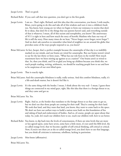Jacqui Lewis: That's so good.

Richard Rohr: If you can't call that into question, you don't get to the first grade.

- Jacqui Lewis: I am so-- That's right, Richard, and this idea that this conversation, you know, I wish maybe, Brian, you're going to do this and take all of this wisdom and turn it into a children's book too. You know, how young are we when we begin to form our resistance to stories that don't fit to ideas, that don't fit to the things that our parents haven't said, and everything outside of that is whatever, I mean, all of this racism and xenophobia, you know? The anniversary of 9/11 is right in here and how much the story of horrific Muslims who hate our way of life is still the story. How many times do we hear, "Never forget; never forget; never forget"? And we don't ask ourselves to remember what kind of neighbor we are around the globe that provokes some of the ways people respond to us, you know?
- Brian McLaren: In fact, Jacqui, that's a perfect example because the catastrophe of that day is so indelibly marked on our minds, and our brains are wired for catastrophe. But our brains weren't wired to say for the last thirty or forty years, "What has our role been in the world? How much resentment have we been stirring up against us as a nation?" Our brains aren't so wired to that. So, then you think, and I'm so glad you bring up children because you think this, we teach people reading, writing, arithmetic, we should be teaching people how to see and how to be suspicious of our own blind spots.

Jacqui Lewis: That is exactly right.

- Brian McLaren: And this catastrophe blindness is really, really serious. And this comfort blindness, really, it's a life-and-death matter, but it doesn't feel like it.
- Jacqui Lewis: It's the same thing with the border. I mean, I think about the very real-- I mean, I guess these things are connected in my mind guys, right, like this idea that there is a foreign threat to us, and they came and got us.

Brian McLaren: Yes. Yes.

- Jacqui Lewis: Right. And so, at the border that translates to the foreign threat to us that came to get us, but we don't see that those people are coming for their stuff. They're coming for their land. We took that land, and they want that land, you know, they want to come back to the space. We don't see how our earliest ways to build a nation were built on this foundation of lies and taking of land and enslavement of bodies. And so, of course, people are upset about that today. So, yeah, let's teach our children how to see, teach our children well, how to see better.
- Richard Rohr: You know, to dip back into the levels of consciousness, if there are nine levels that are more or less agreed upon, some have seven, some have a little more, it's not until the fifth level, the so-called orange level, that we become capable of self-critical thinking, self-critical or critical. Now, if you're not there yet at the so-called orange level, you don't have to use that language, but you think all criticism is traitorous, rebellious, lacking in patriotism.

Jacqui Lewis: Mm-hmm (affirmative).

Brian McLaren: Yes.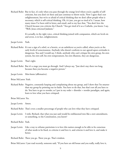Richard Rohr: But in fact, it's only when you pass through the orange level where you're capable of selfcriticism, but you don't sit there and just continue to throw rocks. Now I agree that's not enlightenment, but we're so afraid of critical thinking that we don't allow people what is necessary, which is self-critical thinking. Oh, it's just, you get so tired of it. I mean, how many times I've been told in letter, and email, and to my face that, "You don't love the Church because you criticize the Church." You get tired of it as a Catholic, you know. I say, "Well, Jesus criticized Judaism."

> It's actually, in the right voice, critical thinking joined with compassion, which are levels six and seven, is in fact, enlightenment.

- Jacqui Lewis: Yeah.
- Richard Rohr: It's not a sign of a rebel, or a heretic, or an unbeliever as you're called, when you're at the early levels of consciousness. Anybody who doesn't conform to our agreed-upon certitudes is dangerous. You and I would say, I think, anybody who can't critique his own group, his own system, his own self, his own temperament, his own illusions, they are dangerous.
- Jacqui Lewis: That's right.
- Richard Rohr: But it's a stage you must go through. And I always say, "Just don't stay there too long, because then you become a negative person."
- Jacqui Lewis: Mm-hmm (affirmative).
- Brian McLaren: Yeah.
- Richard Rohr: Negative, constantly harping and complaining about my group, and I show that I'm smarter than my group by pointing out its faults. You have to do that, but that's not all you have to do. You have to get to reorder, as I put in my order > disorder > reorder paradigm, and again, learn to love what you have critiqued.

Brian McLaren: Yes.

Jacqui Lewis: Amen.

- Richard Rohr: That's even a smaller percentage of people who can love what they have critiqued.
- Jacqui Lewis: I wish, Richard, that what you just said would be emblazoned into like a new amendment, or something, to the Constitution, you know?

Richard Rohr: Yeah.

Jacqui Lewis: Like a way to reframe patriotism is to love this nation enough to be able to be conscious of what needs to be fixed, to criticize it and love it, and criticize it and love it, and make it better.

Richard Rohr: There you go. There you go. That's wisdom.

Brian McLaren: I just read recently, someone said, "If you have an old house and you really, really love it,